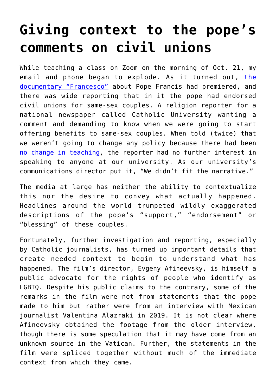## **[Giving context to the pope's](https://www.osvnews.com/2020/10/26/giving-context-to-the-popes-comments-on-civil-unions/) [comments on civil unions](https://www.osvnews.com/2020/10/26/giving-context-to-the-popes-comments-on-civil-unions/)**

While teaching a class on Zoom on the morning of Oct. 21, my email and phone began to explode. As it turned out, [the](https://osvnews.com/2020/10/21/documentary-and-allegory-director-says-star-of-francesco-is-humanity/) [documentary "Francesco"](https://osvnews.com/2020/10/21/documentary-and-allegory-director-says-star-of-francesco-is-humanity/) about Pope Francis had premiered, and there was wide reporting that in it the pope had endorsed civil unions for same-sex couples. A religion reporter for a national newspaper called Catholic University wanting a comment and demanding to know when we were going to start offering benefits to same-sex couples. When told (twice) that we weren't going to change any policy because there had been [no change in teaching](https://osvnews.com/2020/10/23/bishops-popes-civil-union-remarks-wont-change-teaching-on-marriage/), the reporter had no further interest in speaking to anyone at our university. As our university's communications director put it, "We didn't fit the narrative."

The media at large has neither the ability to contextualize this nor the desire to convey what actually happened. Headlines around the world trumpeted wildly exaggerated descriptions of the pope's "support," "endorsement" or "blessing" of these couples.

Fortunately, further investigation and reporting, especially by Catholic journalists, has turned up important details that create needed context to begin to understand what has happened. The film's director, Evgeny Afineevsky, is himself a public advocate for the rights of people who identify as LGBTQ. Despite his public claims to the contrary, some of the remarks in the film were not from statements that the pope made to him but rather were from an interview with Mexican journalist Valentina Alazraki in 2019. It is not clear where Afineevsky obtained the footage from the older interview, though there is some speculation that it may have come from an unknown source in the Vatican. Further, the statements in the film were spliced together without much of the immediate context from which they came.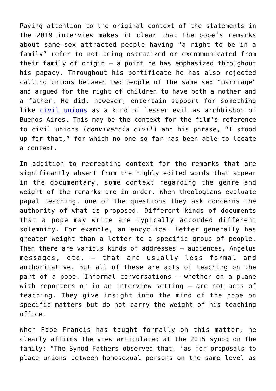Paying attention to the original context of the statements in the 2019 interview makes it clear that the pope's remarks about same-sex attracted people having "a right to be in a family" refer to not being ostracized or excommunicated from their family of origin — a point he has emphasized throughout his papacy. Throughout his pontificate he has also rejected calling unions between two people of the same sex "marriage" and argued for the right of children to have both a mother and a father. He did, however, entertain support for something like [civil unions](https://osvnews.com/2020/10/21/pope-has-history-of-defending-marriage-but-being-open-to-some-civil-unions/) as a kind of lesser evil as archbishop of Buenos Aires. This may be the context for the film's reference to civil unions (*convivencia civil*) and his phrase, "I stood up for that," for which no one so far has been able to locate a context.

In addition to recreating context for the remarks that are significantly absent from the highly edited words that appear in the documentary, some context regarding the genre and weight of the remarks are in order. When theologians evaluate papal teaching, one of the questions they ask concerns the authority of what is proposed. Different kinds of documents that a pope may write are typically accorded different solemnity. For example, an encyclical letter generally has greater weight than a letter to a specific group of people. Then there are various kinds of addresses — audiences, Angelus messages, etc. — that are usually less formal and authoritative. But all of these are acts of teaching on the part of a pope. Informal conversations — whether on a plane with reporters or in an interview setting — are not acts of teaching. They give insight into the mind of the pope on specific matters but do not carry the weight of his teaching office.

When Pope Francis has taught formally on this matter, he clearly affirms the view articulated at the 2015 synod on the family: "The Synod Fathers observed that, 'as for proposals to place unions between homosexual persons on the same level as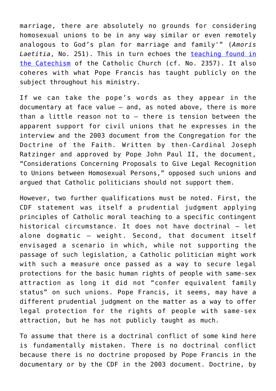marriage, there are absolutely no grounds for considering homosexual unions to be in any way similar or even remotely analogous to God's plan for marriage and family'" (*Amoris Laetitia*, No. 251). This in turn echoes the [teaching found in](https://osvnews.com/2019/05/12/the-churchs-teaching-on-homosexuality/) [the Catechism](https://osvnews.com/2019/05/12/the-churchs-teaching-on-homosexuality/) of the Catholic Church (cf. No. 2357). It also coheres with what Pope Francis has taught publicly on the subject throughout his ministry.

If we can take the pope's words as they appear in the documentary at face value — and, as noted above, there is more than a little reason not to — there is tension between the apparent support for civil unions that he expresses in the interview and the 2003 document from the Congregation for the Doctrine of the Faith. Written by then-Cardinal Joseph Ratzinger and approved by Pope John Paul II, the document, "Considerations Concerning Proposals to Give Legal Recognition to Unions between Homosexual Persons," opposed such unions and argued that Catholic politicians should not support them.

However, two further qualifications must be noted. First, the CDF statement was itself a prudential judgment applying principles of Catholic moral teaching to a specific contingent historical circumstance. It does not have doctrinal - let alone dogmatic — weight. Second, that document itself envisaged a scenario in which, while not supporting the passage of such legislation, a Catholic politician might work with such a measure once passed as a way to secure legal protections for the basic human rights of people with same-sex attraction as long it did not "confer equivalent family status" on such unions. Pope Francis, it seems, may have a different prudential judgment on the matter as a way to offer legal protection for the rights of people with same-sex attraction, but he has not publicly taught as much.

To assume that there is a doctrinal conflict of some kind here is fundamentally mistaken. There is no doctrinal conflict because there is no doctrine proposed by Pope Francis in the documentary or by the CDF in the 2003 document. Doctrine, by